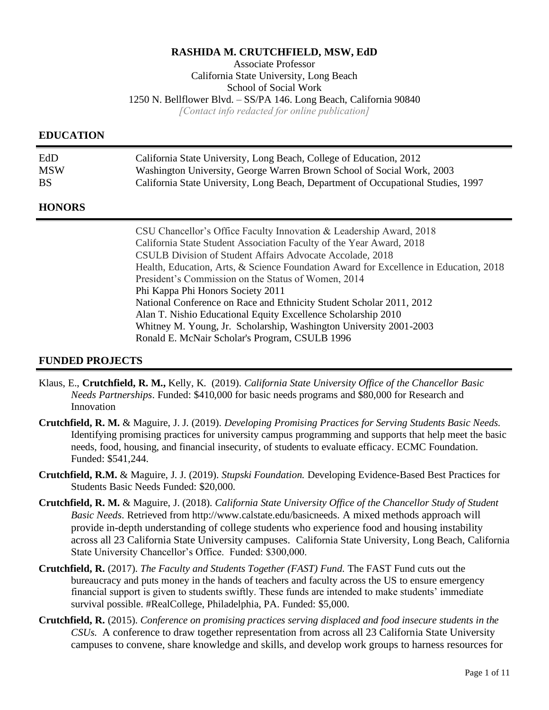#### **RASHIDA M. CRUTCHFIELD, MSW, EdD**

Associate Professor

California State University, Long Beach School of Social Work

1250 N. Bellflower Blvd. – SS/PA 146. Long Beach, California 90840

*[Contact info redacted for online publication]*

## **EDUCATION**

| EdD        | California State University, Long Beach, College of Education, 2012               |
|------------|-----------------------------------------------------------------------------------|
| <b>MSW</b> | Washington University, George Warren Brown School of Social Work, 2003            |
| BS.        | California State University, Long Beach, Department of Occupational Studies, 1997 |

# **HONORS**

CSU Chancellor's Office Faculty Innovation & Leadership Award, 2018 California State Student Association Faculty of the Year Award, 2018 CSULB Division of Student Affairs Advocate Accolade, 2018 Health, Education, Arts, & Science Foundation Award for Excellence in Education, 2018 President's Commission on the Status of Women, 2014 Phi Kappa Phi Honors Society 2011 National Conference on Race and Ethnicity Student Scholar 2011, 2012 Alan T. Nishio Educational Equity Excellence Scholarship 2010 Whitney M. Young, Jr. Scholarship, Washington University 2001-2003 Ronald E. McNair Scholar's Program, CSULB 1996

## **FUNDED PROJECTS**

- Klaus, E., **Crutchfield, R. M.,** Kelly, K. (2019). *California State University Office of the Chancellor Basic Needs Partnerships*. Funded: \$410,000 for basic needs programs and \$80,000 for Research and Innovation
- **Crutchfield, R. M.** & Maguire, J. J. (2019). *Developing Promising Practices for Serving Students Basic Needs.* Identifying promising practices for university campus programming and supports that help meet the basic needs, food, housing, and financial insecurity, of students to evaluate efficacy. ECMC Foundation. Funded: \$541,244.
- **Crutchfield, R.M.** & Maguire, J. J. (2019). *Stupski Foundation.* Developing Evidence-Based Best Practices for Students Basic Needs Funded: \$20,000.
- **Crutchfield, R. M.** & Maguire, J. (2018). *California State University Office of the Chancellor Study of Student Basic Needs*. Retrieved from http://www.calstate.edu/basicneeds. A mixed methods approach will provide in-depth understanding of college students who experience food and housing instability across all 23 California State University campuses. California State University, Long Beach, California State University Chancellor's Office. Funded: \$300,000.
- **Crutchfield, R.** (2017). *The Faculty and Students Together (FAST) Fund.* The FAST Fund cuts out the bureaucracy and puts money in the hands of teachers and faculty across the US to ensure emergency financial support is given to students swiftly. These funds are intended to make students' immediate survival possible. #RealCollege, Philadelphia, PA. Funded: \$5,000.
- **Crutchfield, R.** (2015). *Conference on promising practices serving displaced and food insecure students in the CSUs.* A conference to draw together representation from across all 23 California State University campuses to convene, share knowledge and skills, and develop work groups to harness resources for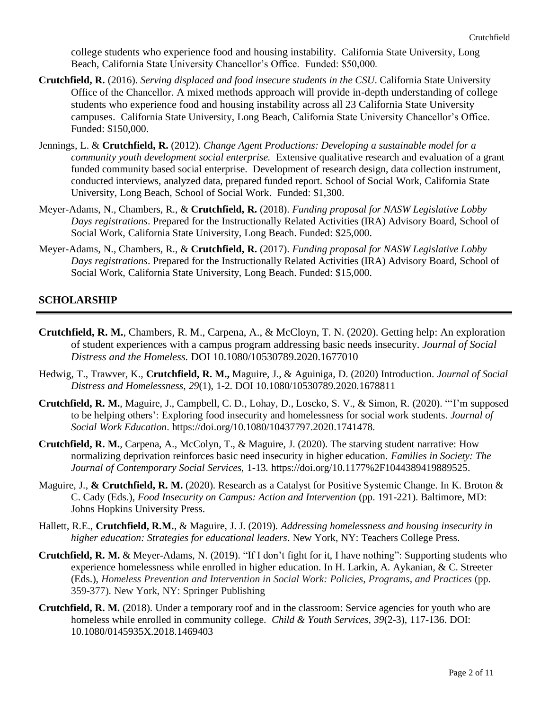college students who experience food and housing instability. California State University, Long Beach, California State University Chancellor's Office. Funded: \$50,000.

- **Crutchfield, R.** (2016). *Serving displaced and food insecure students in the CSU*. California State University Office of the Chancellor. A mixed methods approach will provide in-depth understanding of college students who experience food and housing instability across all 23 California State University campuses. California State University, Long Beach, California State University Chancellor's Office. Funded: \$150,000.
- Jennings, L. & **Crutchfield, R.** (2012). *Change Agent Productions: Developing a sustainable model for a community youth development social enterprise.* Extensive qualitative research and evaluation of a grant funded community based social enterprise. Development of research design, data collection instrument, conducted interviews, analyzed data, prepared funded report. School of Social Work, California State University, Long Beach, School of Social Work. Funded: \$1,300.
- Meyer-Adams, N., Chambers, R., & **Crutchfield, R.** (2018). *Funding proposal for NASW Legislative Lobby Days registrations*. Prepared for the Instructionally Related Activities (IRA) Advisory Board, School of Social Work, California State University, Long Beach. Funded: \$25,000.
- Meyer-Adams, N., Chambers, R., & **Crutchfield, R.** (2017). *Funding proposal for NASW Legislative Lobby Days registrations*. Prepared for the Instructionally Related Activities (IRA) Advisory Board, School of Social Work, California State University, Long Beach. Funded: \$15,000.

# **SCHOLARSHIP**

- **Crutchfield, R. M.**, Chambers, R. M., Carpena, A., & McCloyn, T. N. (2020). Getting help: An exploration of student experiences with a campus program addressing basic needs insecurity. *Journal of Social Distress and the Homeless.* DOI 10.1080/10530789.2020.1677010
- Hedwig, T., Trawver, K., **Crutchfield, R. M.,** Maguire, J., & Aguiniga, D. (2020) Introduction. *Journal of Social Distress and Homelessness, 29*(1), 1-2. DOI 10.1080/10530789.2020.1678811
- **Crutchfield, R. M.**, Maguire, J., Campbell, C. D., Lohay, D., Loscko, S. V., & Simon, R. (2020). "'I'm supposed to be helping others': Exploring food insecurity and homelessness for social work students. *Journal of Social Work Education*. https://doi.org/10.1080/10437797.2020.1741478.
- **Crutchfield, R. M.**, Carpena, A., McColyn, T., & Maguire, J. (2020). The starving student narrative: How normalizing deprivation reinforces basic need insecurity in higher education. *Families in Society: The Journal of Contemporary Social Services,* 1-13*.* https://doi.org/10.1177%2F1044389419889525.
- Maguire, J., **& Crutchfield, R. M.** (2020). Research as a Catalyst for Positive Systemic Change. In K. Broton & C. Cady (Eds.), *Food Insecurity on Campus: Action and Intervention* (pp. 191-221). Baltimore, MD: Johns Hopkins University Press.
- Hallett, R.E., **Crutchfield, R.M.**, & Maguire, J. J. (2019). *Addressing homelessness and housing insecurity in higher education: Strategies for educational leaders*. New York, NY: Teachers College Press.
- **Crutchfield, R. M.** & Meyer-Adams, N. (2019). "If I don't fight for it, I have nothing": Supporting students who experience homelessness while enrolled in higher education. In H. Larkin, A. Aykanian, & C. Streeter (Eds.), *Homeless Prevention and Intervention in Social Work: Policies, Programs, and Practices* (pp. 359-377). New York, NY: Springer Publishing
- **Crutchfield, R. M.** (2018). Under a temporary roof and in the classroom: Service agencies for youth who are homeless while enrolled in community college. *Child & Youth Services, 39*(2-3), 117-136. DOI: 10.1080/0145935X.2018.1469403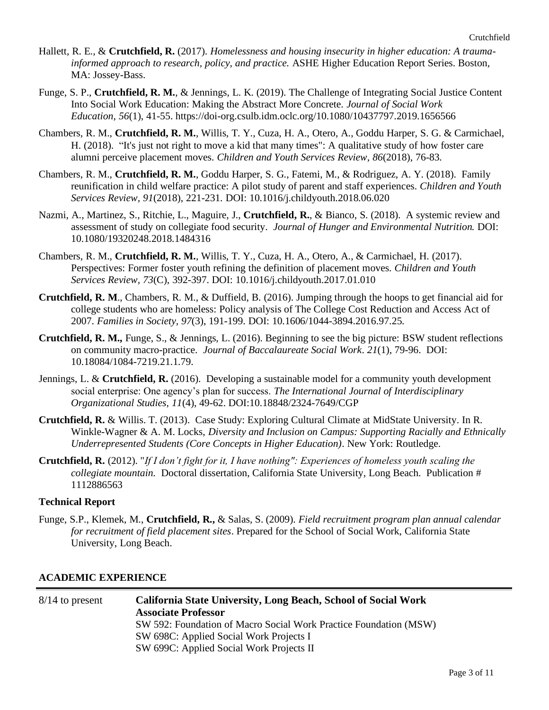- Hallett, R. E., & **Crutchfield, R.** (2017). *Homelessness and housing insecurity in higher education: A traumainformed approach to research, policy, and practice.* ASHE Higher Education Report Series. Boston, MA: Jossey-Bass.
- Funge, S. P., **Crutchfield, R. M.**, & Jennings, L. K. (2019). The Challenge of Integrating Social Justice Content Into Social Work Education: Making the Abstract More Concrete. *Journal of Social Work Education, 56*(1), 41-55. https://doi-org.csulb.idm.oclc.org/10.1080/10437797.2019.1656566
- Chambers, R. M., **Crutchfield, R. M.**, Willis, T. Y., Cuza, H. A., Otero, A., Goddu Harper, S. G. & Carmichael, H. (2018). "It's just not right to move a kid that many times": A qualitative study of how foster care alumni perceive placement moves. *Children and Youth Services Review, 86*(2018), 76-83*.*
- Chambers, R. M., **Crutchfield, R. M.**, Goddu Harper, S. G., Fatemi, M., & Rodriguez, A. Y. (2018). Family reunification in child welfare practice: A pilot study of parent and staff experiences. *Children and Youth Services Review, 91*(2018), 221-231*.* DOI: 10.1016/j.childyouth.2018.06.020
- Nazmi, A., Martinez, S., Ritchie, L., Maguire, J., **Crutchfield, R.**, & Bianco, S. (2018). A systemic review and assessment of study on collegiate food security. *Journal of Hunger and Environmental Nutrition.* DOI: 10.1080/19320248.2018.1484316
- Chambers, R. M., **Crutchfield, R. M.**, Willis, T. Y., Cuza, H. A., Otero, A., & Carmichael, H. (2017). Perspectives: Former foster youth refining the definition of placement moves. *Children and Youth Services Review, 73*(C), 392-397. DOI: 10.1016/j.childyouth.2017.01.010
- **Crutchfield, R. M**., Chambers, R. M., & Duffield, B. (2016). Jumping through the hoops to get financial aid for college students who are homeless: Policy analysis of The College Cost Reduction and Access Act of 2007. *Families in Society, 97*(3), 191-199. DOI: 10.1606/1044-3894.2016.97.25.
- **Crutchfield, R. M.,** Funge, S., & Jennings, L. (2016). Beginning to see the big picture: BSW student reflections on community macro-practice. *Journal of Baccalaureate Social Work*. *21*(1), 79-96. DOI: 10.18084/1084-7219.21.1.79.
- Jennings, L. & **Crutchfield, R.** (2016). Developing a sustainable model for a community youth development social enterprise: One agency's plan for success. *The International Journal of Interdisciplinary Organizational Studies, 11*(4), 49-62. DOI:10.18848/2324-7649/CGP
- **Crutchfield, R.** & Willis. T. (2013).Case Study: Exploring Cultural Climate at MidState University. In R. Winkle-Wagner & A. M. Locks, *Diversity and Inclusion on Campus: Supporting Racially and Ethnically Underrepresented Students (Core Concepts in Higher Education)*. New York: Routledge.
- **Crutchfield, R.** (2012). "*If I don't fight for it, I have nothing": Experiences of homeless youth scaling the collegiate mountain.* Doctoral dissertation, California State University, Long Beach. Publication # 1112886563

### **Technical Report**

Funge, S.P., Klemek, M., **Crutchfield, R.,** & Salas, S. (2009). *Field recruitment program plan annual calendar for recruitment of field placement sites*. Prepared for the School of Social Work, California State University, Long Beach.

### **ACADEMIC EXPERIENCE**

8/14 to present **California State University, Long Beach, School of Social Work Associate Professor** SW 592: Foundation of Macro Social Work Practice Foundation (MSW) SW 698C: Applied Social Work Projects I SW 699C: Applied Social Work Projects II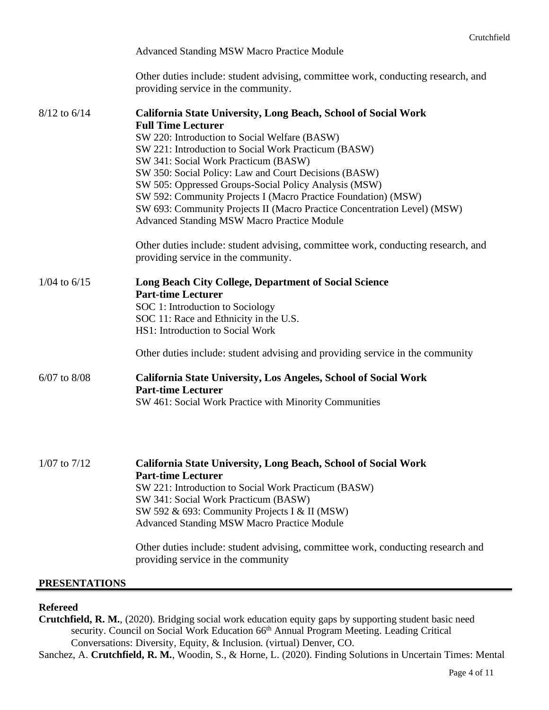|                      | <b>Advanced Standing MSW Macro Practice Module</b>                                                                                                                                                                                                                                                                                                                                                                                                                                                                                                                                                                                                                                                   |
|----------------------|------------------------------------------------------------------------------------------------------------------------------------------------------------------------------------------------------------------------------------------------------------------------------------------------------------------------------------------------------------------------------------------------------------------------------------------------------------------------------------------------------------------------------------------------------------------------------------------------------------------------------------------------------------------------------------------------------|
|                      | Other duties include: student advising, committee work, conducting research, and<br>providing service in the community.                                                                                                                                                                                                                                                                                                                                                                                                                                                                                                                                                                              |
| $8/12$ to $6/14$     | <b>California State University, Long Beach, School of Social Work</b><br><b>Full Time Lecturer</b><br>SW 220: Introduction to Social Welfare (BASW)<br>SW 221: Introduction to Social Work Practicum (BASW)<br>SW 341: Social Work Practicum (BASW)<br>SW 350: Social Policy: Law and Court Decisions (BASW)<br>SW 505: Oppressed Groups-Social Policy Analysis (MSW)<br>SW 592: Community Projects I (Macro Practice Foundation) (MSW)<br>SW 693: Community Projects II (Macro Practice Concentration Level) (MSW)<br><b>Advanced Standing MSW Macro Practice Module</b><br>Other duties include: student advising, committee work, conducting research, and<br>providing service in the community. |
| $1/04$ to $6/15$     | Long Beach City College, Department of Social Science<br><b>Part-time Lecturer</b><br>SOC 1: Introduction to Sociology<br>SOC 11: Race and Ethnicity in the U.S.<br>HS1: Introduction to Social Work                                                                                                                                                                                                                                                                                                                                                                                                                                                                                                 |
|                      | Other duties include: student advising and providing service in the community                                                                                                                                                                                                                                                                                                                                                                                                                                                                                                                                                                                                                        |
| $6/07$ to $8/08$     | <b>California State University, Los Angeles, School of Social Work</b><br><b>Part-time Lecturer</b><br>SW 461: Social Work Practice with Minority Communities                                                                                                                                                                                                                                                                                                                                                                                                                                                                                                                                        |
| $1/07$ to $7/12$     | California State University, Long Beach, School of Social Work<br><b>Part-time Lecturer</b><br>SW 221: Introduction to Social Work Practicum (BASW)<br>SW 341: Social Work Practicum (BASW)<br>SW 592 & 693: Community Projects I & II (MSW)<br><b>Advanced Standing MSW Macro Practice Module</b><br>Other duties include: student advising, committee work, conducting research and<br>providing service in the community                                                                                                                                                                                                                                                                          |
| <b>PRESENTATIONS</b> |                                                                                                                                                                                                                                                                                                                                                                                                                                                                                                                                                                                                                                                                                                      |

### **Refereed**

**Crutchfield, R. M.**, (2020). Bridging social work education equity gaps by supporting student basic need security. Council on Social Work Education 66<sup>th</sup> Annual Program Meeting. Leading Critical Conversations: Diversity, Equity, & Inclusion. (virtual) Denver, CO.

Sanchez, A. **Crutchfield, R. M.**, Woodin, S., & Horne, L. (2020). Finding Solutions in Uncertain Times: Mental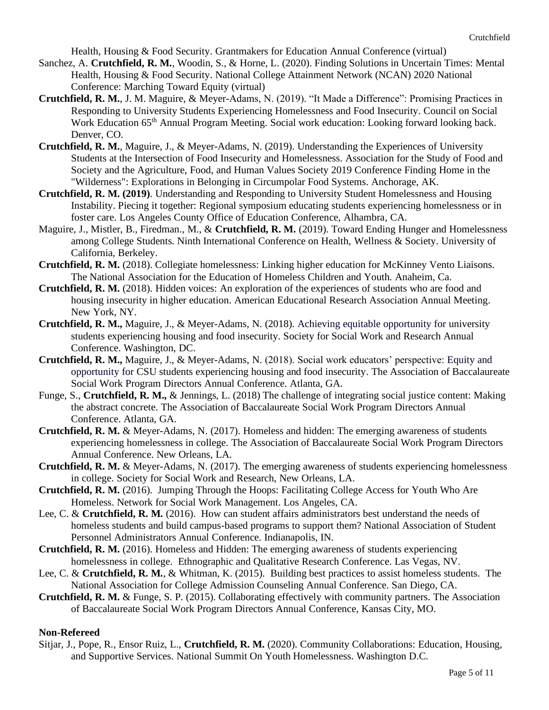Health, Housing & Food Security. Grantmakers for Education Annual Conference (virtual)

- Sanchez, A. **Crutchfield, R. M.**, Woodin, S., & Horne, L. (2020). Finding Solutions in Uncertain Times: Mental Health, Housing & Food Security. National College Attainment Network (NCAN) 2020 National Conference: Marching Toward Equity (virtual)
- **Crutchfield, R. M.**, J. M. Maguire, & Meyer-Adams, N. (2019). "It Made a Difference": Promising Practices in Responding to University Students Experiencing Homelessness and Food Insecurity. Council on Social Work Education 65<sup>th</sup> Annual Program Meeting. Social work education: Looking forward looking back. Denver, CO.
- **Crutchfield, R. M.**, Maguire, J., & Meyer-Adams, N. (2019). Understanding the Experiences of University Students at the Intersection of Food Insecurity and Homelessness. Association for the Study of Food and Society and the Agriculture, Food, and Human Values Society 2019 Conference Finding Home in the "Wilderness": Explorations in Belonging in Circumpolar Food Systems. Anchorage, AK.
- **Crutchfield, R. M. (2019)**. Understanding and Responding to University Student Homelessness and Housing Instability. Piecing it together: Regional symposium educating students experiencing homelessness or in foster care. Los Angeles County Office of Education Conference, Alhambra, CA.
- Maguire, J., Mistler, B., Firedman., M., & **Crutchfield, R. M.** (2019). Toward Ending Hunger and Homelessness among College Students. Ninth International Conference on Health, Wellness & Society. University of California, Berkeley.
- **Crutchfield, R. M.** (2018). Collegiate homelessness: Linking higher education for McKinney Vento Liaisons. The National Association for the Education of Homeless Children and Youth. Anaheim, Ca.
- **Crutchfield, R. M.** (2018). Hidden voices: An exploration of the experiences of students who are food and housing insecurity in higher education. American Educational Research Association Annual Meeting. New York, NY.
- **Crutchfield, R. M.,** Maguire, J., & Meyer-Adams, N. (2018). Achieving equitable opportunity for university students experiencing housing and food insecurity. Society for Social Work and Research Annual Conference. Washington, DC.
- **Crutchfield, R. M.,** Maguire, J., & Meyer-Adams, N. (2018). Social work educators' perspective: Equity and opportunity for CSU students experiencing housing and food insecurity. The Association of Baccalaureate Social Work Program Directors Annual Conference. Atlanta, GA.
- Funge, S., **Crutchfield, R. M.,** & Jennings, L. (2018) The challenge of integrating social justice content: Making the abstract concrete. The Association of Baccalaureate Social Work Program Directors Annual Conference. Atlanta, GA.
- **Crutchfield, R. M.** & Meyer-Adams, N. (2017). Homeless and hidden: The emerging awareness of students experiencing homelessness in college. The Association of Baccalaureate Social Work Program Directors Annual Conference. New Orleans, LA.
- **Crutchfield, R. M.** & Meyer-Adams, N. (2017). The emerging awareness of students experiencing homelessness in college. Society for Social Work and Research, New Orleans, LA.
- **Crutchfield, R. M.** (2016). Jumping Through the Hoops: Facilitating College Access for Youth Who Are Homeless. Network for Social Work Management. Los Angeles, CA.
- Lee, C. & **Crutchfield, R. M.** (2016). How can student affairs administrators best understand the needs of homeless students and build campus-based programs to support them? National Association of Student Personnel Administrators Annual Conference. Indianapolis, IN.
- **Crutchfield, R. M.** (2016). Homeless and Hidden: The emerging awareness of students experiencing homelessness in college. Ethnographic and Qualitative Research Conference. Las Vegas, NV.
- Lee, C. & **Crutchfield, R. M.**, & Whitman, K. (2015). Building best practices to assist homeless students. The National Association for College Admission Counseling Annual Conference. San Diego, CA.
- **Crutchfield, R. M.** & Funge, S. P. (2015). Collaborating effectively with community partners. The Association of Baccalaureate Social Work Program Directors Annual Conference, Kansas City, MO.

#### **Non-Refereed**

Sitjar, J., Pope, R., Ensor Ruiz, L., **Crutchfield, R. M.** (2020). Community Collaborations: Education, Housing, and Supportive Services. National Summit On Youth Homelessness. Washington D.C.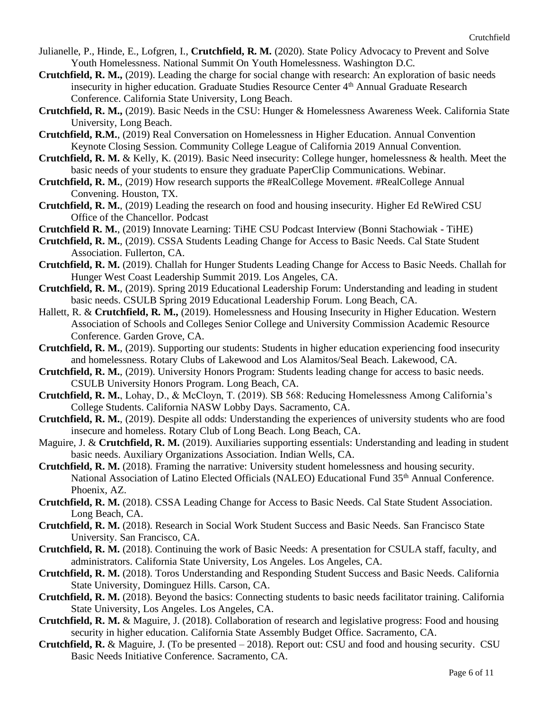- Julianelle, P., Hinde, E., Lofgren, I., **Crutchfield, R. M.** (2020). State Policy Advocacy to Prevent and Solve Youth Homelessness. National Summit On Youth Homelessness. Washington D.C.
- **Crutchfield, R. M.,** (2019). Leading the charge for social change with research: An exploration of basic needs insecurity in higher education. Graduate Studies Resource Center 4<sup>th</sup> Annual Graduate Research Conference. California State University, Long Beach.
- **Crutchfield, R. M.,** (2019). Basic Needs in the CSU: Hunger & Homelessness Awareness Week. California State University, Long Beach.
- **Crutchfield, R.M.**, (2019) Real Conversation on Homelessness in Higher Education. Annual Convention Keynote Closing Session. Community College League of California 2019 Annual Convention.
- **Crutchfield, R. M.** & Kelly, K. (2019). Basic Need insecurity: College hunger, homelessness & health. Meet the basic needs of your students to ensure they graduate PaperClip Communications. Webinar.
- **Crutchfield, R. M.**, (2019) How research supports the #RealCollege Movement. #RealCollege Annual Convening. Houston, TX.
- **Crutchfield, R. M.**, (2019) Leading the research on food and housing insecurity. Higher Ed ReWired CSU Office of the Chancellor. Podcast
- **Crutchfield R. M.**, (2019) Innovate Learning: TiHE CSU Podcast Interview (Bonni Stachowiak TiHE)
- **Crutchfield, R. M.**, (2019). CSSA Students Leading Change for Access to Basic Needs. Cal State Student Association. Fullerton, CA.
- **Crutchfield, R. M.** (2019). Challah for Hunger Students Leading Change for Access to Basic Needs. Challah for Hunger West Coast Leadership Summit 2019. Los Angeles, CA.
- **Crutchfield, R. M.**, (2019). Spring 2019 Educational Leadership Forum: Understanding and leading in student basic needs. CSULB Spring 2019 Educational Leadership Forum. Long Beach, CA.
- Hallett, R. & **Crutchfield, R. M.,** (2019). Homelessness and Housing Insecurity in Higher Education. Western Association of Schools and Colleges Senior College and University Commission Academic Resource Conference. Garden Grove, CA.
- **Crutchfield, R. M.**, (2019). Supporting our students: Students in higher education experiencing food insecurity and homelessness. Rotary Clubs of Lakewood and Los Alamitos/Seal Beach. Lakewood, CA.
- **Crutchfield, R. M.**, (2019). University Honors Program: Students leading change for access to basic needs. CSULB University Honors Program. Long Beach, CA.
- **Crutchfield, R. M.**, Lohay, D., & McCloyn, T. (2019). SB 568: Reducing Homelessness Among California's College Students. California NASW Lobby Days. Sacramento, CA.
- **Crutchfield, R. M.**, (2019). Despite all odds: Understanding the experiences of university students who are food insecure and homeless. Rotary Club of Long Beach. Long Beach, CA.
- Maguire, J. & **Crutchfield, R. M.** (2019). Auxiliaries supporting essentials: Understanding and leading in student basic needs. Auxiliary Organizations Association. Indian Wells, CA.
- **Crutchfield, R. M.** (2018). Framing the narrative: University student homelessness and housing security. National Association of Latino Elected Officials (NALEO) Educational Fund 35<sup>th</sup> Annual Conference. Phoenix, AZ.
- **Crutchfield, R. M.** (2018). CSSA Leading Change for Access to Basic Needs. Cal State Student Association. Long Beach, CA.
- **Crutchfield, R. M.** (2018). Research in Social Work Student Success and Basic Needs. San Francisco State University. San Francisco, CA.
- **Crutchfield, R. M.** (2018). Continuing the work of Basic Needs: A presentation for CSULA staff, faculty, and administrators. California State University, Los Angeles. Los Angeles, CA.
- **Crutchfield, R. M.** (2018). Toros Understanding and Responding Student Success and Basic Needs. California State University, Dominguez Hills. Carson, CA.
- **Crutchfield, R. M.** (2018). Beyond the basics: Connecting students to basic needs facilitator training. California State University, Los Angeles. Los Angeles, CA.
- **Crutchfield, R. M.** & Maguire, J. (2018). Collaboration of research and legislative progress: Food and housing security in higher education. California State Assembly Budget Office. Sacramento, CA.
- **Crutchfield, R.** & Maguire, J. (To be presented 2018). Report out: CSU and food and housing security. CSU Basic Needs Initiative Conference. Sacramento, CA.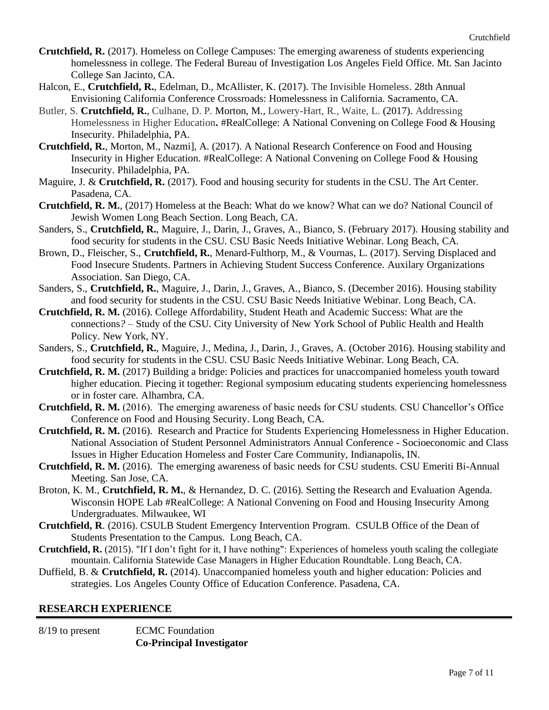- **Crutchfield, R.** (2017). Homeless on College Campuses: The emerging awareness of students experiencing homelessness in college. The Federal Bureau of Investigation Los Angeles Field Office. Mt. San Jacinto College San Jacinto, CA.
- Halcon, E., **Crutchfield, R.**, Edelman, D., McAllister, K. (2017). The Invisible Homeless. 28th Annual Envisioning California Conference Crossroads: Homelessness in California. Sacramento, CA.
- Butler, S. **Crutchfield, R.***,* Culhane, D. P. Morton, M.*,* Lowery-Hart, R., Waite, L. (2017). Addressing Homelessness in Higher Education**.** #RealCollege: A National Convening on College Food & Housing Insecurity. Philadelphia, PA.
- **Crutchfield, R.**, Morton, M., Nazmi], A. (2017). A National Research Conference on Food and Housing Insecurity in Higher Education. #RealCollege: A National Convening on College Food & Housing Insecurity. Philadelphia, PA.
- Maguire, J. & **Crutchfield, R.** (2017). Food and housing security for students in the CSU. The Art Center. Pasadena, CA.
- **Crutchfield, R. M.**, (2017) Homeless at the Beach: What do we know? What can we do? National Council of Jewish Women Long Beach Section. Long Beach, CA.
- Sanders, S., **Crutchfield, R.**, Maguire, J., Darin, J., Graves, A., Bianco, S. (February 2017). Housing stability and food security for students in the CSU. CSU Basic Needs Initiative Webinar. Long Beach, CA.
- Brown, D., Fleischer, S., **Crutchfield, R.**, Menard-Fulthorp, M., & Vournas, L. (2017). Serving Displaced and Food Insecure Students. Partners in Achieving Student Success Conference. Auxilary Organizations Association. San Diego, CA.
- Sanders, S., **Crutchfield, R.**, Maguire, J., Darin, J., Graves, A., Bianco, S. (December 2016). Housing stability and food security for students in the CSU. CSU Basic Needs Initiative Webinar. Long Beach, CA.
- **Crutchfield, R. M.** (2016). College Affordability, Student Heath and Academic Success: What are the connections*?* – Study of the CSU. City University of New York School of Public Health and Health Policy. New York, NY.
- Sanders, S., **Crutchfield, R.**, Maguire, J., Medina, J., Darin, J., Graves, A. (October 2016). Housing stability and food security for students in the CSU. CSU Basic Needs Initiative Webinar. Long Beach, CA.
- **Crutchfield, R. M.** (2017) Building a bridge: Policies and practices for unaccompanied homeless youth toward higher education. Piecing it together: Regional symposium educating students experiencing homelessness or in foster care. Alhambra, CA.
- **Crutchfield, R. M.** (2016). The emerging awareness of basic needs for CSU students. CSU Chancellor's Office Conference on Food and Housing Security. Long Beach, CA.
- **Crutchfield, R. M.** (2016). Research and Practice for Students Experiencing Homelessness in Higher Education. National Association of Student Personnel Administrators Annual Conference - Socioeconomic and Class Issues in Higher Education Homeless and Foster Care Community, Indianapolis, IN.
- **Crutchfield, R. M.** (2016). The emerging awareness of basic needs for CSU students. CSU Emeriti Bi-Annual Meeting. San Jose, CA.
- Broton, K. M., **Crutchfield, R. M.**, & Hernandez, D. C. (2016). Setting the Research and Evaluation Agenda. Wisconsin HOPE Lab #RealCollege: A National Convening on Food and Housing Insecurity Among Undergraduates. Milwaukee, WI
- **Crutchfield, R**. (2016). CSULB Student Emergency Intervention Program. CSULB Office of the Dean of Students Presentation to the Campus. Long Beach, CA.
- **Crutchfield, R.** (2015). "If I don't fight for it, I have nothing": Experiences of homeless youth scaling the collegiate mountain. California Statewide Case Managers in Higher Education Roundtable. Long Beach, CA.
- Duffield, B. & **Crutchfield, R.** (2014). Unaccompanied homeless youth and higher education: Policies and strategies. Los Angeles County Office of Education Conference. Pasadena, CA.

## **RESEARCH EXPERIENCE**

8/19 to present ECMC Foundation **Co-Principal Investigator**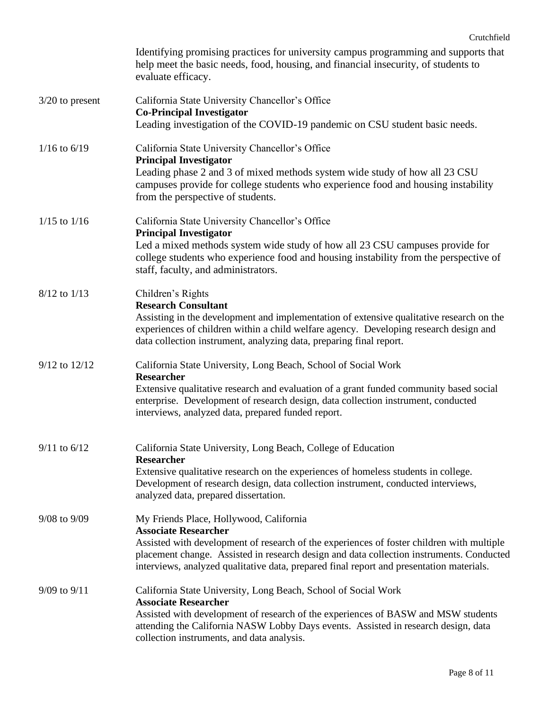|                   | Identifying promising practices for university campus programming and supports that<br>help meet the basic needs, food, housing, and financial insecurity, of students to<br>evaluate efficacy.                                                                                                                                                             |
|-------------------|-------------------------------------------------------------------------------------------------------------------------------------------------------------------------------------------------------------------------------------------------------------------------------------------------------------------------------------------------------------|
| $3/20$ to present | California State University Chancellor's Office<br><b>Co-Principal Investigator</b><br>Leading investigation of the COVID-19 pandemic on CSU student basic needs.                                                                                                                                                                                           |
| $1/16$ to $6/19$  | California State University Chancellor's Office<br><b>Principal Investigator</b><br>Leading phase 2 and 3 of mixed methods system wide study of how all 23 CSU<br>campuses provide for college students who experience food and housing instability<br>from the perspective of students.                                                                    |
| $1/15$ to $1/16$  | California State University Chancellor's Office<br><b>Principal Investigator</b><br>Led a mixed methods system wide study of how all 23 CSU campuses provide for<br>college students who experience food and housing instability from the perspective of<br>staff, faculty, and administrators.                                                             |
| 8/12 to 1/13      | Children's Rights<br><b>Research Consultant</b><br>Assisting in the development and implementation of extensive qualitative research on the<br>experiences of children within a child welfare agency. Developing research design and<br>data collection instrument, analyzing data, preparing final report.                                                 |
| 9/12 to 12/12     | California State University, Long Beach, School of Social Work<br><b>Researcher</b><br>Extensive qualitative research and evaluation of a grant funded community based social<br>enterprise. Development of research design, data collection instrument, conducted<br>interviews, analyzed data, prepared funded report.                                    |
| $9/11$ to $6/12$  | California State University, Long Beach, College of Education<br>Researcher<br>Extensive qualitative research on the experiences of homeless students in college.<br>Development of research design, data collection instrument, conducted interviews,<br>analyzed data, prepared dissertation.                                                             |
| 9/08 to 9/09      | My Friends Place, Hollywood, California<br><b>Associate Researcher</b><br>Assisted with development of research of the experiences of foster children with multiple<br>placement change. Assisted in research design and data collection instruments. Conducted<br>interviews, analyzed qualitative data, prepared final report and presentation materials. |
| $9/09$ to $9/11$  | California State University, Long Beach, School of Social Work<br><b>Associate Researcher</b><br>Assisted with development of research of the experiences of BASW and MSW students<br>attending the California NASW Lobby Days events. Assisted in research design, data<br>collection instruments, and data analysis.                                      |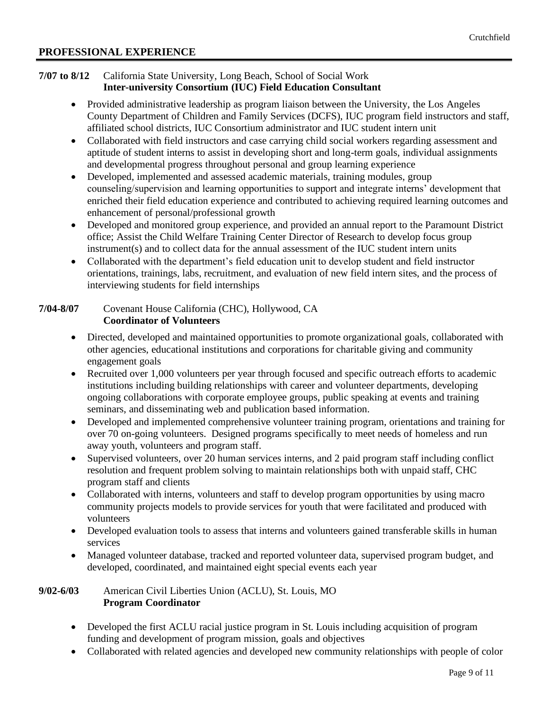### **PROFESSIONAL EXPERIENCE**

#### **7/07 to 8/12** California State University, Long Beach, School of Social Work **Inter-university Consortium (IUC) Field Education Consultant**

- Provided administrative leadership as program liaison between the University, the Los Angeles County Department of Children and Family Services (DCFS), IUC program field instructors and staff, affiliated school districts, IUC Consortium administrator and IUC student intern unit
- Collaborated with field instructors and case carrying child social workers regarding assessment and aptitude of student interns to assist in developing short and long-term goals, individual assignments and developmental progress throughout personal and group learning experience
- Developed, implemented and assessed academic materials, training modules, group counseling/supervision and learning opportunities to support and integrate interns' development that enriched their field education experience and contributed to achieving required learning outcomes and enhancement of personal/professional growth
- Developed and monitored group experience, and provided an annual report to the Paramount District office; Assist the Child Welfare Training Center Director of Research to develop focus group instrument(s) and to collect data for the annual assessment of the IUC student intern units
- Collaborated with the department's field education unit to develop student and field instructor orientations, trainings, labs, recruitment, and evaluation of new field intern sites, and the process of interviewing students for field internships

### **7/04-8/07** Covenant House California (CHC), Hollywood, CA **Coordinator of Volunteers**

- Directed, developed and maintained opportunities to promote organizational goals, collaborated with other agencies, educational institutions and corporations for charitable giving and community engagement goals
- Recruited over 1,000 volunteers per year through focused and specific outreach efforts to academic institutions including building relationships with career and volunteer departments, developing ongoing collaborations with corporate employee groups, public speaking at events and training seminars, and disseminating web and publication based information.
- Developed and implemented comprehensive volunteer training program, orientations and training for over 70 on-going volunteers. Designed programs specifically to meet needs of homeless and run away youth, volunteers and program staff.
- Supervised volunteers, over 20 human services interns, and 2 paid program staff including conflict resolution and frequent problem solving to maintain relationships both with unpaid staff, CHC program staff and clients
- Collaborated with interns, volunteers and staff to develop program opportunities by using macro community projects models to provide services for youth that were facilitated and produced with volunteers
- Developed evaluation tools to assess that interns and volunteers gained transferable skills in human services
- Managed volunteer database, tracked and reported volunteer data, supervised program budget, and developed, coordinated, and maintained eight special events each year

### **9/02-6/03** American Civil Liberties Union (ACLU), St. Louis, MO **Program Coordinator**

- Developed the first ACLU racial justice program in St. Louis including acquisition of program funding and development of program mission, goals and objectives
- Collaborated with related agencies and developed new community relationships with people of color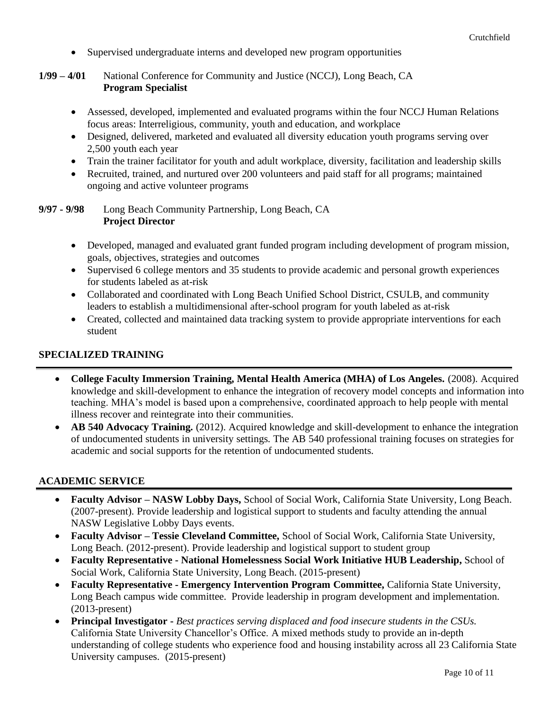- Supervised undergraduate interns and developed new program opportunities
- **1/99 – 4/01** National Conference for Community and Justice (NCCJ), Long Beach, CA **Program Specialist**
	- Assessed, developed, implemented and evaluated programs within the four NCCJ Human Relations focus areas: Interreligious, community, youth and education, and workplace
	- Designed, delivered, marketed and evaluated all diversity education youth programs serving over 2,500 youth each year
	- Train the trainer facilitator for youth and adult workplace, diversity, facilitation and leadership skills
	- Recruited, trained, and nurtured over 200 volunteers and paid staff for all programs; maintained ongoing and active volunteer programs

**9/97 - 9/98** Long Beach Community Partnership, Long Beach, CA **Project Director**

- Developed, managed and evaluated grant funded program including development of program mission, goals, objectives, strategies and outcomes
- Supervised 6 college mentors and 35 students to provide academic and personal growth experiences for students labeled as at-risk
- Collaborated and coordinated with Long Beach Unified School District, CSULB, and community leaders to establish a multidimensional after-school program for youth labeled as at-risk
- Created, collected and maintained data tracking system to provide appropriate interventions for each student

# **SPECIALIZED TRAINING**

- **College Faculty Immersion Training, Mental Health America (MHA) of Los Angeles.** (2008). Acquired knowledge and skill-development to enhance the integration of recovery model concepts and information into teaching. MHA's model is based upon a comprehensive, coordinated approach to help people with mental illness recover and reintegrate into their communities.
- **AB 540 Advocacy Training.** (2012). Acquired knowledge and skill-development to enhance the integration of undocumented students in university settings. The AB 540 professional training focuses on strategies for academic and social supports for the retention of undocumented students.

## **ACADEMIC SERVICE**

- **Faculty Advisor – NASW Lobby Days,** School of Social Work, California State University, Long Beach. (2007-present). Provide leadership and logistical support to students and faculty attending the annual NASW Legislative Lobby Days events.
- **Faculty Advisor – Tessie Cleveland Committee,** School of Social Work, California State University, Long Beach. (2012-present). Provide leadership and logistical support to student group
- **Faculty Representative - National Homelessness Social Work Initiative HUB Leadership,** School of Social Work, California State University, Long Beach. (2015-present)
- **Faculty Representative - Emergency Intervention Program Committee,** California State University, Long Beach campus wide committee. Provide leadership in program development and implementation. (2013-present)
- **Principal Investigator -** *Best practices serving displaced and food insecure students in the CSUs.* California State University Chancellor's Office. A mixed methods study to provide an in-depth understanding of college students who experience food and housing instability across all 23 California State University campuses. (2015-present)